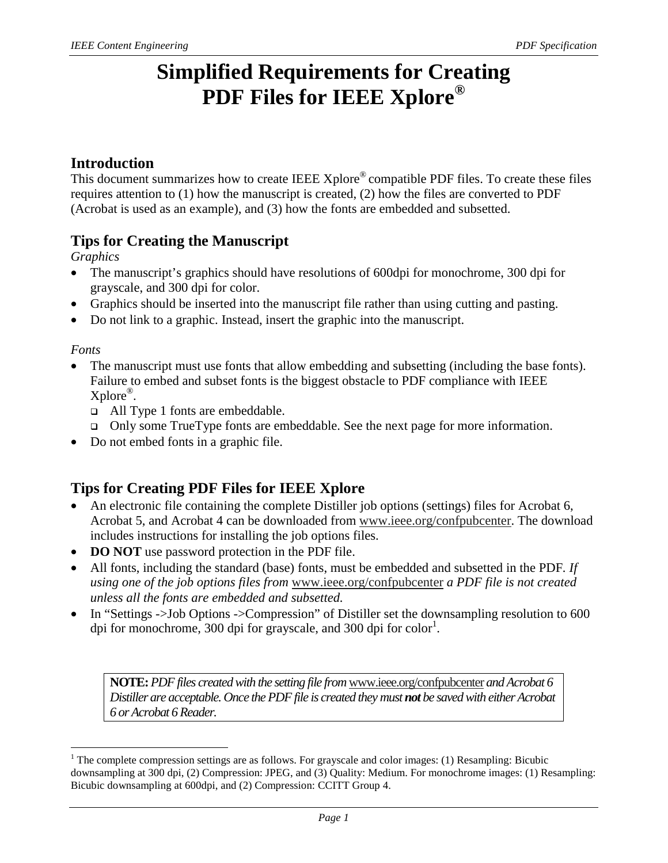# **Simplified Requirements for Creating PDF Files for IEEE Xplore®**

#### **Introduction**

This document summarizes how to create IEEE Xplore<sup>®</sup> compatible PDF files. To create these files requires attention to (1) how the manuscript is created, (2) how the files are converted to PDF (Acrobat is used as an example), and (3) how the fonts are embedded and subsetted.

## **Tips for Creating the Manuscript**

*Graphics* 

- The manuscript's graphics should have resolutions of 600dpi for monochrome, 300 dpi for grayscale, and 300 dpi for color.
- Graphics should be inserted into the manuscript file rather than using cutting and pasting.
- Do not link to a graphic. Instead, insert the graphic into the manuscript.

#### *Fonts*

-

- The manuscript must use fonts that allow embedding and subsetting (including the base fonts). Failure to embed and subset fonts is the biggest obstacle to PDF compliance with IEEE Xplore®.
	- All Type 1 fonts are embeddable.
	- Only some TrueType fonts are embeddable. See the next page for more information.
- Do not embed fonts in a graphic file.

## **Tips for Creating PDF Files for IEEE Xplore**

- An electronic file containing the complete Distiller job options (settings) files for Acrobat 6, Acrobat 5, and Acrobat 4 can be downloaded from www.ieee.org/confpubcenter. The download includes instructions for installing the job options files.
- **DO NOT** use password protection in the PDF file.
- All fonts, including the standard (base) fonts, must be embedded and subsetted in the PDF*. If using one of the job options files from* www.ieee.org/confpubcenter *a PDF file is not created unless all the fonts are embedded and subsetted.*
- In "Settings ->Job Options ->Compression" of Distiller set the downsampling resolution to 600 dpi for monochrome, 300 dpi for grayscale, and 300 dpi for color<sup>1</sup>.

**NOTE:***PDF files created with the setting file from* www.ieee.org/confpubcenter *and Acrobat 6 Distiller are acceptable. Once the PDF file is created they must not be saved with either Acrobat 6 or Acrobat 6 Reader.*

<sup>&</sup>lt;sup>1</sup> The complete compression settings are as follows. For grayscale and color images: (1) Resampling: Bicubic downsampling at 300 dpi, (2) Compression: JPEG, and (3) Quality: Medium. For monochrome images: (1) Resampling: Bicubic downsampling at 600dpi, and (2) Compression: CCITT Group 4.